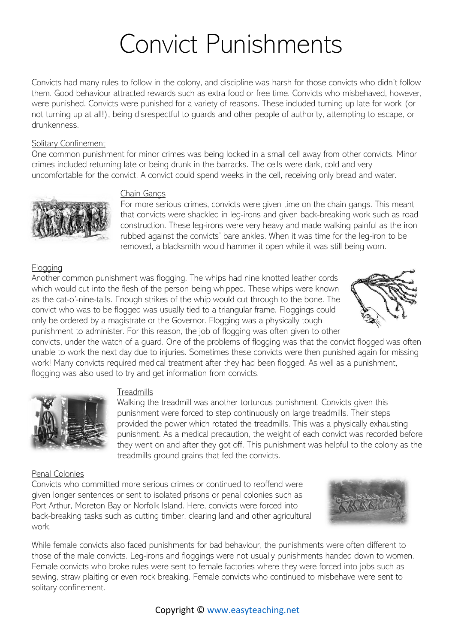# Convict Punishments

Convicts had many rules to follow in the colony, and discipline was harsh for those convicts who didn't follow them. Good behaviour attracted rewards such as extra food or free time. Convicts who misbehaved, however, were punished. Convicts were punished for a variety of reasons. These included turning up late for work (or not turning up at all!), being disrespectful to guards and other people of authority, attempting to escape, or drunkenness.

#### Solitary Confinement

One common punishment for minor crimes was being locked in a small cell away from other convicts. Minor crimes included returning late or being drunk in the barracks. The cells were dark, cold and very uncomfortable for the convict. A convict could spend weeks in the cell, receiving only bread and water.



#### Chain Gangs

For more serious crimes, convicts were given time on the chain gangs. This meant that convicts were shackled in leg-irons and given back-breaking work such as road construction. These leg-irons were very heavy and made walking painful as the iron rubbed against the convicts' bare ankles. When it was time for the leg-iron to be removed, a blacksmith would hammer it open while it was still being worn.

# Flogging

Another common punishment was flogging. The whips had nine knotted leather cords which would cut into the flesh of the person being whipped. These whips were known as the cat-o'-nine-tails. Enough strikes of the whip would cut through to the bone. The convict who was to be flogged was usually tied to a triangular frame. Floggings could only be ordered by a magistrate or the Governor. Flogging was a physically tough punishment to administer. For this reason, the job of flogging was often given to other



convicts, under the watch of a guard. One of the problems of flogging was that the convict flogged was often unable to work the next day due to injuries. Sometimes these convicts were then punished again for missing work! Many convicts required medical treatment after they had been flogged. As well as a punishment, flogging was also used to try and get information from convicts.



## **Treadmills**

Walking the treadmill was another torturous punishment. Convicts given this punishment were forced to step continuously on large treadmills. Their steps provided the power which rotated the treadmills. This was a physically exhausting punishment. As a medical precaution, the weight of each convict was recorded before they went on and after they got off. This punishment was helpful to the colony as the treadmills ground grains that fed the convicts.

#### Penal Colonies

Convicts who committed more serious crimes or continued to reoffend were given longer sentences or sent to isolated prisons or penal colonies such as Port Arthur, Moreton Bay or Norfolk Island. Here, convicts were forced into back-breaking tasks such as cutting timber, clearing land and other agricultural work.



While female convicts also faced punishments for bad behaviour, the punishments were often different to those of the male convicts. Leg-irons and floggings were not usually punishments handed down to women. Female convicts who broke rules were sent to female factories where they were forced into jobs such as sewing, straw plaiting or even rock breaking. Female convicts who continued to misbehave were sent to solitary confinement.

## Copyright © [www.easyteaching.net](http://www.easyteaching.net/)